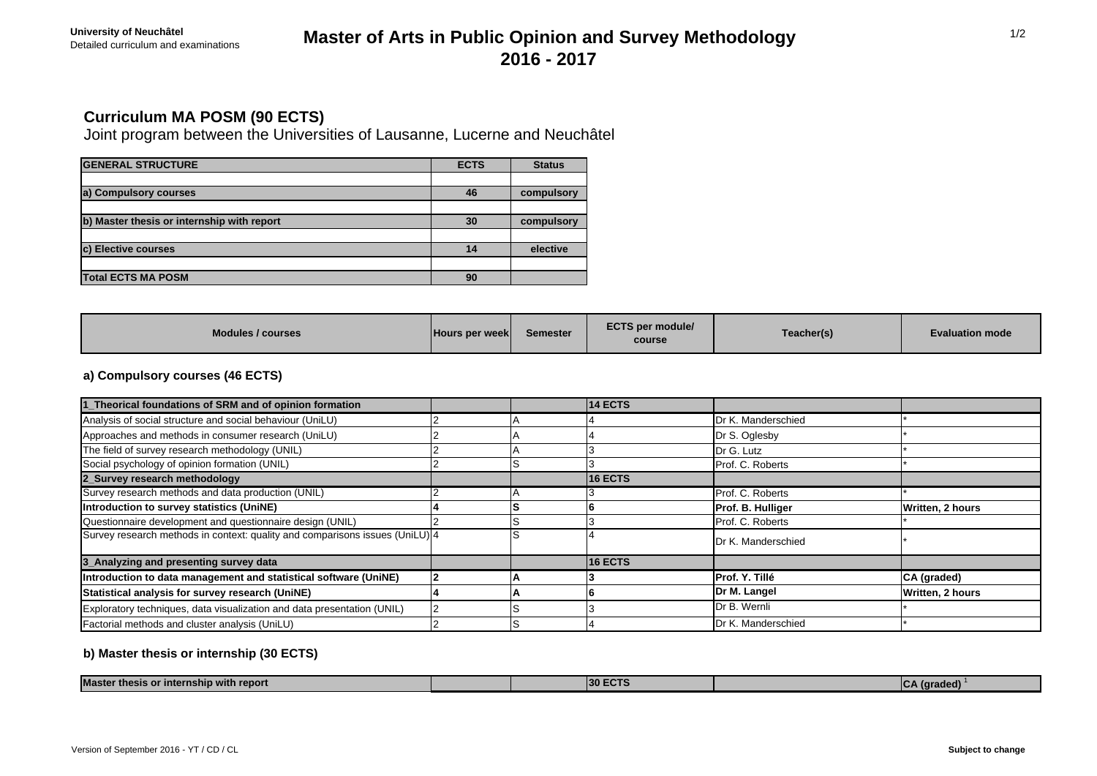## Detailed curriculum and examinations **Master of Arts in Public Opinion and Survey Methodology 2016 - 2017**

## **Curriculum MA POSM (90 ECTS)**

Joint program between the Universities of Lausanne, Lucerne and Neuchâtel

| <b>GENERAL STRUCTURE</b>                   | <b>ECTS</b> | <b>Status</b> |
|--------------------------------------------|-------------|---------------|
|                                            |             |               |
| a) Compulsory courses                      | 46          | compulsory    |
|                                            |             |               |
| b) Master thesis or internship with report | 30          | compulsory    |
|                                            |             |               |
| c) Elective courses                        | 14          | elective      |
|                                            |             |               |
| <b>Total ECTS MA POSM</b>                  | 90          |               |

| <b>Modules / courses</b><br><b>Hours per weekl</b> | Semester | <b>ECTS per module/</b><br>course | Teacher(s) | <b>Evaluation mode</b> |
|----------------------------------------------------|----------|-----------------------------------|------------|------------------------|
|----------------------------------------------------|----------|-----------------------------------|------------|------------------------|

### **a) Compulsory courses (46 ECTS)**

| 1_Theorical foundations of SRM and of opinion formation                      |  | <b>14 ECTS</b> |                    |                  |
|------------------------------------------------------------------------------|--|----------------|--------------------|------------------|
| Analysis of social structure and social behaviour (UniLU)                    |  |                | Dr K. Manderschied |                  |
| Approaches and methods in consumer research (UniLU)                          |  |                | Dr S. Oglesby      |                  |
| The field of survey research methodology (UNIL)                              |  |                | Dr G. Lutz         |                  |
| Social psychology of opinion formation (UNIL)                                |  |                | Prof. C. Roberts   |                  |
| 2_Survey research methodology                                                |  | <b>16 ECTS</b> |                    |                  |
| Survey research methods and data production (UNIL)                           |  |                | Prof. C. Roberts   |                  |
| Introduction to survey statistics (UniNE)                                    |  |                | Prof. B. Hulliger  | Written, 2 hours |
| Questionnaire development and questionnaire design (UNIL)                    |  |                | Prof. C. Roberts   |                  |
| Survey research methods in context: quality and comparisons issues (UniLU) 4 |  |                | Dr K. Manderschied |                  |
| 3_Analyzing and presenting survey data                                       |  | <b>16 ECTS</b> |                    |                  |
| Introduction to data management and statistical software (UniNE)             |  |                | Prof. Y. Tillé     | CA (graded)      |
| Statistical analysis for survey research (UniNE)                             |  |                | Dr M. Langel       | Written, 2 hours |
| Exploratory techniques, data visualization and data presentation (UNIL)      |  |                | Dr B. Wernli       |                  |
| Factorial methods and cluster analysis (UniLU)                               |  |                | Dr K. Manderschied |                  |

### **b) Master thesis or internship (30 ECTS)**

| <b><i>MAGAZ</i></b><br>nship with report<br>* thesis or inter.<br>waster |  |  | $\mathbf{L}$<br><i><u><b>I</b>draded</u></i><br>. |
|--------------------------------------------------------------------------|--|--|---------------------------------------------------|

1/2